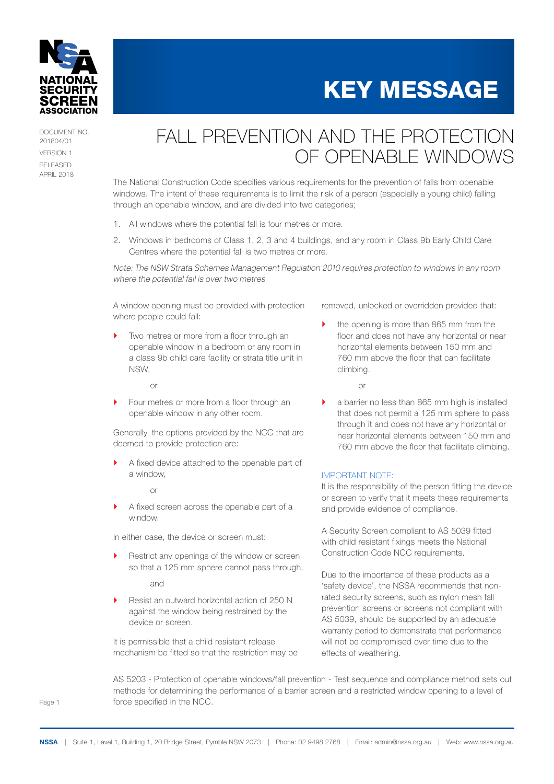

DOCUMENT NO. 201804/01 VERSION 1 RELEASED APRIL 2018

## FALL PREVENTION AND THE PROTECTION OF OPENABLE WINDOWS

The National Construction Code specifies various requirements for the prevention of falls from openable windows. The intent of these requirements is to limit the risk of a person (especially a young child) falling through an openable window, and are divided into two categories;

- 1. All windows where the potential fall is four metres or more.
- 2. Windows in bedrooms of Class 1, 2, 3 and 4 buildings, and any room in Class 9b Early Child Care Centres where the potential fall is two metres or more.

*Note: The NSW Strata Schemes Management Regulation 2010 requires protection to windows in any room where the potential fall is over two metres.*

A window opening must be provided with protection where people could fall:

Two metres or more from a floor through an openable window in a bedroom or any room in a class 9b child care facility or strata title unit in NSW,

or

▶ Four metres or more from a floor through an openable window in any other room.

Generally, the options provided by the NCC that are deemed to provide protection are:

A fixed device attached to the openable part of a window,

or

A fixed screen across the openable part of a window.

In either case, the device or screen must:

Restrict any openings of the window or screen so that a 125 mm sphere cannot pass through,

and

Resist an outward horizontal action of 250 N against the window being restrained by the device or screen.

It is permissible that a child resistant release mechanism be fitted so that the restriction may be removed, unlocked or overridden provided that:

KEY MESSAGE

` the opening is more than 865 mm from the floor and does not have any horizontal or near horizontal elements between 150 mm and 760 mm above the floor that can facilitate climbing.

or

 $\blacktriangleright$  a barrier no less than 865 mm high is installed that does not permit a 125 mm sphere to pass through it and does not have any horizontal or near horizontal elements between 150 mm and 760 mm above the floor that facilitate climbing.

### IMPORTANT NOTE:

It is the responsibility of the person fitting the device or screen to verify that it meets these requirements and provide evidence of compliance.

A Security Screen compliant to AS 5039 fitted with child resistant fixings meets the National Construction Code NCC requirements.

Due to the importance of these products as a 'safety device', the NSSA recommends that nonrated security screens, such as nylon mesh fall prevention screens or screens not compliant with AS 5039, should be supported by an adequate warranty period to demonstrate that performance will not be compromised over time due to the effects of weathering.

AS 5203 - Protection of openable windows/fall prevention - Test sequence and compliance method sets out methods for determining the performance of a barrier screen and a restricted window opening to a level of force specified in the NCC.

Page 1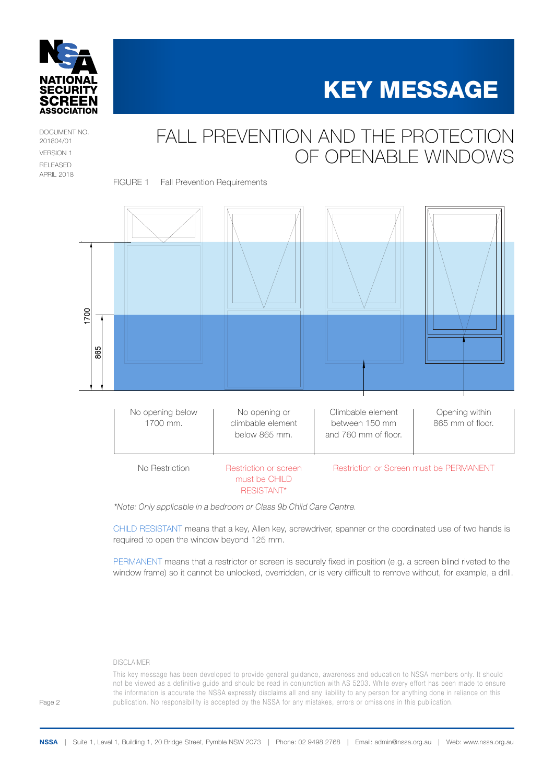



DOCUMENT NO. 201804/01 VERSION 1 RELEASED APRIL 2018

## FALL PREVENTION AND THE PROTECTION OF OPENABLE WINDOWS

FIGURE 1 Fall Prevention Requirements



*\*Note: Only applicable in a bedroom or Class 9b Child Care Centre.*

CHILD RESISTANT means that a key, Allen key, screwdriver, spanner or the coordinated use of two hands is required to open the window beyond 125 mm.

PERMANENT means that a restrictor or screen is securely fixed in position (e.g. a screen blind riveted to the window frame) so it cannot be unlocked, overridden, or is very difficult to remove without, for example, a drill.

#### DISCLAIMER

This key message has been developed to provide general guidance, awareness and education to NSSA members only. It should not be viewed as a definitive guide and should be read in conjunction with AS 5203. While every effort has been made to ensure the information is accurate the NSSA expressly disclaims all and any liability to any person for anything done in reliance on this publication. No responsibility is accepted by the NSSA for any mistakes, errors or omissions in this publication.

Page 2